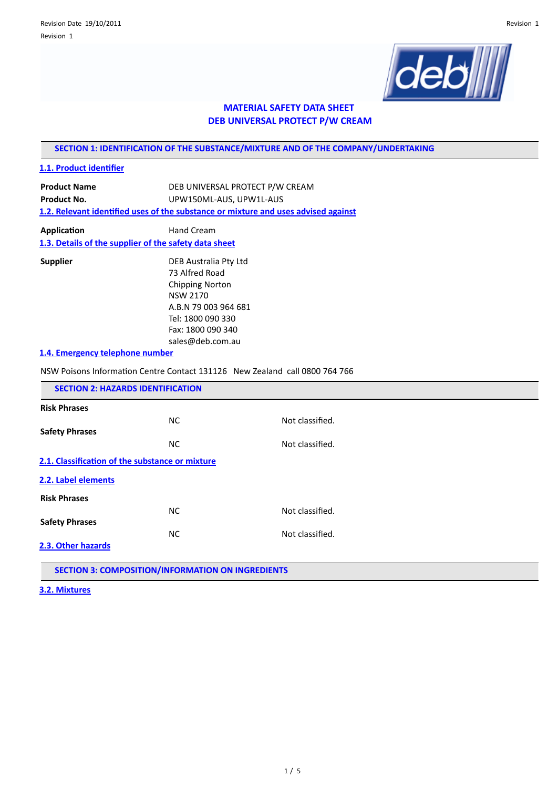

# **MATERIAL SAFETY DATA SHEET DEB UNIVERSAL PROTECT P/W CREAM**

**SECTION 1: IDENTIFICATION OF THE SUBSTANCE/MIXTURE AND OF THE COMPANY/UNDERTAKING**

# **1.1. Product identifier**

**Product Name** DEB UNIVERSAL PROTECT P/W CREAM Product No. **UPW150ML-AUS**, UPW1L-AUS **1.2. Relevant identified uses of the substance or mixture and uses advised against** 

**Application** Hand Cream **1.3. Details of the supplier of the safety data sheet**

**Supplier** DEB Australia Pty Ltd 73 Alfred Road Chipping Norton NSW 2170 A.B.N 79 003 964 681 Tel: 1800 090 330 Fax: 1800 090 340 sales@deb.com.au

# **1.4. Emergency telephone number**

NSW Poisons Informaton Centre Contact 131126 New Zealand call 0800 764 766

| <b>SECTION 2: HAZARDS IDENTIFICATION</b>        |           |                 |  |  |
|-------------------------------------------------|-----------|-----------------|--|--|
| <b>Risk Phrases</b>                             |           |                 |  |  |
|                                                 | NC.       | Not classified. |  |  |
| <b>Safety Phrases</b>                           |           |                 |  |  |
|                                                 | <b>NC</b> | Not classified. |  |  |
| 2.1. Classification of the substance or mixture |           |                 |  |  |
| 2.2. Label elements                             |           |                 |  |  |
| <b>Risk Phrases</b>                             |           |                 |  |  |
|                                                 | NC.       | Not classified. |  |  |
| <b>Safety Phrases</b>                           |           |                 |  |  |
|                                                 | <b>NC</b> | Not classified. |  |  |
| 2.3. Other hazards                              |           |                 |  |  |
|                                                 |           |                 |  |  |

**SECTION 3: COMPOSITION/INFORMATION ON INGREDIENTS**

**3.2. Mixtures**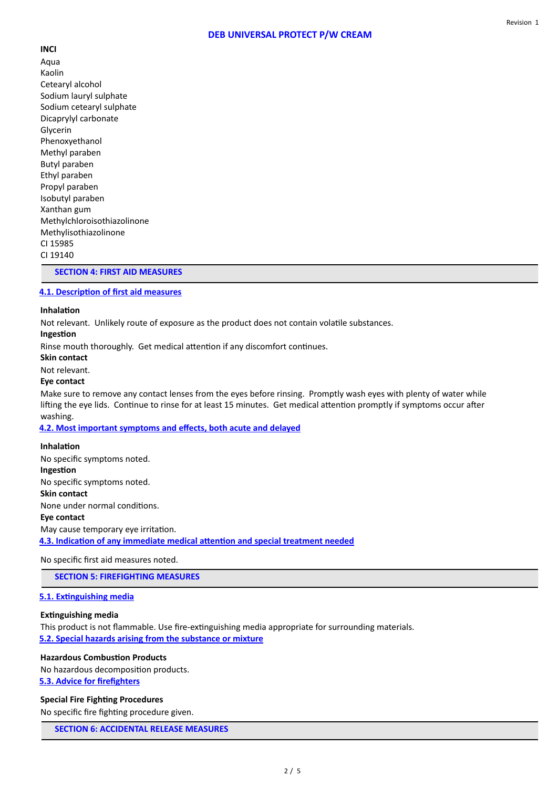# **DEB UNIVERSAL PROTECT P/W CREAM**

**INCI** Aqua Kaolin Cetearyl alcohol Sodium lauryl sulphate Sodium cetearyl sulphate Dicaprylyl carbonate Glycerin Phenoxyethanol Methyl paraben Butyl paraben Ethyl paraben Propyl paraben Isobutyl paraben Xanthan gum Methylchloroisothiazolinone Methylisothiazolinone CI 15985 CI 19140

## **SECTION 4: FIRST AID MEASURES**

## **4.1. Description of first aid measures**

#### **Inhalation**

Not relevant. Unlikely route of exposure as the product does not contain volatle substances.

**Ingeston**

Rinse mouth thoroughly. Get medical attention if any discomfort continues.

**Skin contact**

Not relevant.

#### **Eye contact**

Make sure to remove any contact lenses from the eyes before rinsing. Promptly wash eyes with plenty of water while lifting the eye lids. Continue to rinse for at least 15 minutes. Get medical attention promptly if symptoms occur after washing.

**4.2. Most important symptoms and efects, both acute and delayed**

#### **Inhalation**

No specific symptoms noted. **Ingeston** No specific symptoms noted. **Skin contact** None under normal conditons. **Eye contact** May cause temporary eye irritation. **4.3. Indicaton of any immediate medical atenton and special treatment needed**

No specific first aid measures noted.

**SECTION 5: FIREFIGHTING MEASURES**

#### **5.1. Extnguishing media**

# **Extnguishing media**

This product is not flammable. Use fire-extinguishing media appropriate for surrounding materials. **5.2. Special hazards arising from the substance or mixture**

## **Hazardous Combuston Products**

No hazardous decomposition products. **5.3. Advice for frefghters**

#### **Special Fire Fighting Procedures**

No specific fire fighting procedure given.

**SECTION 6: ACCIDENTAL RELEASE MEASURES**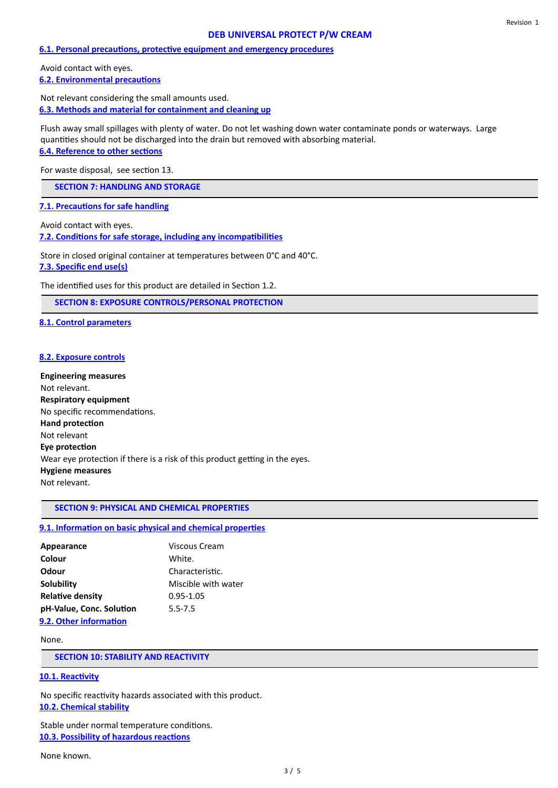#### Revision 1

# **DEB UNIVERSAL PROTECT P/W CREAM**

#### **6.1. Personal precautons, protectve equipment and emergency procedures**

Avoid contact with eyes. **6.2. Environmental precautons**

Not relevant considering the small amounts used. **6.3. Methods and material for containment and cleaning up**

Flush away small spillages with plenty of water. Do not let washing down water contaminate ponds or waterways. Large quantities should not be discharged into the drain but removed with absorbing material.

# **6.4. Reference to other sectons**

For waste disposal, see section 13.

**SECTION 7: HANDLING AND STORAGE**

**7.1. Precautions for safe handling** 

Avoid contact with eyes. **7.2. Conditons for safe storage, including any incompatbilites**

Store in closed original container at temperatures between 0°C and 40°C.

**7.3. Specifc end use(s)**

The identified uses for this product are detailed in Section 1.2.

**SECTION 8: EXPOSURE CONTROLS/PERSONAL PROTECTION**

**8.1. Control parameters**

#### **8.2. Exposure controls**

**Engineering measures** Not relevant. **Respiratory equipment** No specific recommendations. **Hand protection** Not relevant **Eye protection** Wear eye protection if there is a risk of this product getting in the eyes. **Hygiene measures** Not relevant.

# **SECTION 9: PHYSICAL AND CHEMICAL PROPERTIES**

#### **9.1. Information on basic physical and chemical properties**

| Appearance               | Viscous Cream       |
|--------------------------|---------------------|
| Colour                   | White.              |
| Odour                    | Characteristic.     |
| Solubility               | Miscible with water |
| <b>Relative density</b>  | $0.95 - 1.05$       |
| pH-Value, Conc. Solution | $5.5 - 7.5$         |
| 9.2. Other information   |                     |

#### None.

**SECTION 10: STABILITY AND REACTIVITY**

## **10.1. Reactivity**

No specific reactivity hazards associated with this product. **10.2. Chemical stability**

Stable under normal temperature conditons. **10.3. Possibility of hazardous reactions** 

None known.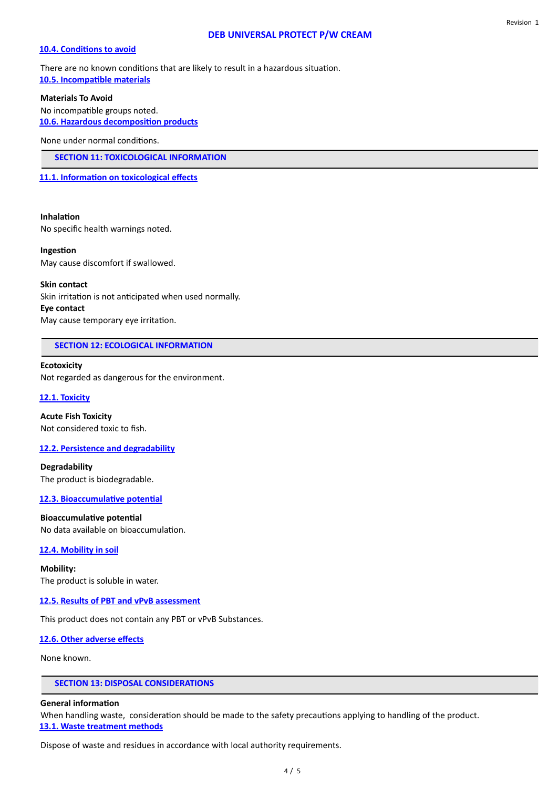# **DEB UNIVERSAL PROTECT P/W CREAM**

#### **10.4. Conditions to avoid**

There are no known conditons that are likely to result in a hazardous situaton. **10.5. Incompatible materials** 

**Materials To Avoid**

No incompatible groups noted. **10.6. Hazardous decompositon products**

None under normal conditons.

**SECTION 11: TOXICOLOGICAL INFORMATION**

11.1. Information on toxicological effects

# **Inhalation**

No specifc health warnings noted.

### **Ingeston**

May cause discomfort if swallowed.

#### **Skin contact**

Skin irritation is not anticipated when used normally. **Eye contact** May cause temporary eye irritation.

# **SECTION 12: ECOLOGICAL INFORMATION**

### **Ecotoxicity**

Not regarded as dangerous for the environment.

# **12.1. Toxicity**

**Acute Fish Toxicity** Not considered toxic to fish.

# **12.2. Persistence and degradability**

**Degradability** The product is biodegradable.

**12.3. Bioaccumulative potential** 

# **Bioaccumulative potential**

No data available on bioaccumulation.

# **12.4. Mobility in soil**

**Mobility:** The product is soluble in water.

# **12.5. Results of PBT and vPvB assessment**

This product does not contain any PBT or vPvB Substances.

# **12.6. Other adverse efects**

None known.

# **SECTION 13: DISPOSAL CONSIDERATIONS**

#### **General information**

When handling waste, consideration should be made to the safety precautions applying to handling of the product. **13.1. Waste treatment methods**

Dispose of waste and residues in accordance with local authority requirements.